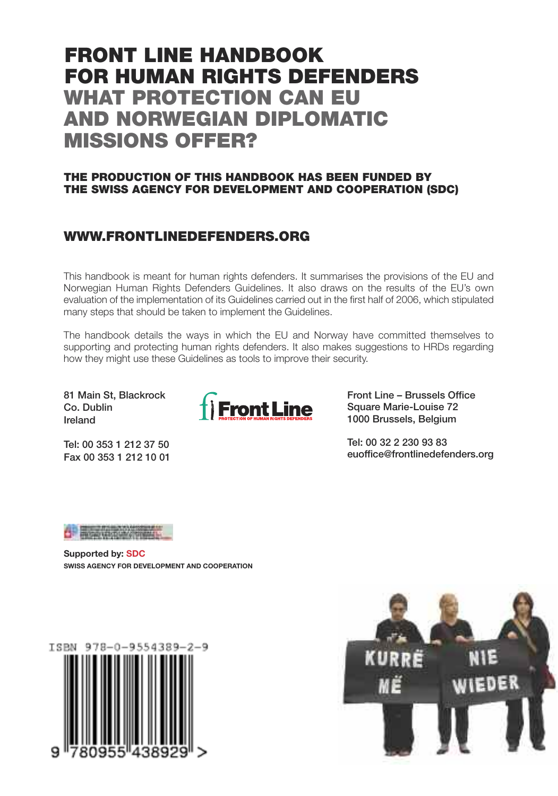## **FRONT LINE HANDBOOK FOR HUMAN RIGHTS DEFENDERS WHAT PROTECTION CAN EU AND NORWEGIAN DIPLOMATIC MISSIONS OFFER?**

## **THE PRODUCTION OF THIS HANDBOOK HAS BEEN FUNDED BY THE SWISS AGENCY FOR DEVELOPMENT AND COOPERATION (SDC)**

## **WWW.FRONTLINEDEFENDERS.ORG**

This handbook is meant for human rights defenders. It summarises the provisions of the EU and Norwegian Human Rights Defenders Guidelines. It also draws on the results of the EU's own evaluation of the implementation of its Guidelines carried out in the first half of 2006, which stipulated many steps that should be taken to implement the Guidelines.

The handbook details the ways in which the EU and Norway have committed themselves to supporting and protecting human rights defenders. It also makes suggestions to HRDs regarding how they might use these Guidelines as tools to improve their security.

81 Main St, Blackrock Co. Dublin Ireland

Tel: 00 353 1 212 37 50 Fax 00 353 1 212 10 01



Front Line – Brussels Office Square Marie-Louise 72 1000 Brussels, Belgium

Tel: 00 32 2 230 93 83 euoffice@frontlinedefenders.org



**Supported by: SDC SWISS AGENCY FOR DEVELOPMENT AND COOPERATION**



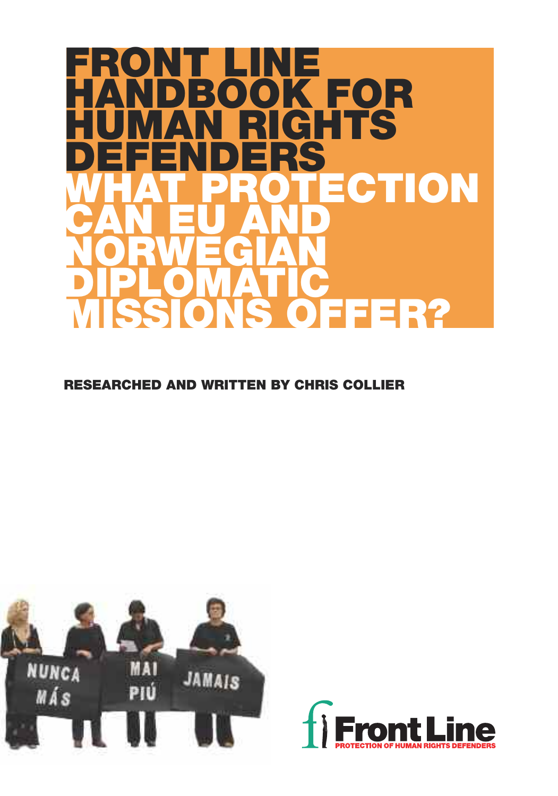

**RESEARCHED AND WRITTEN BY CHRIS COLLIER**



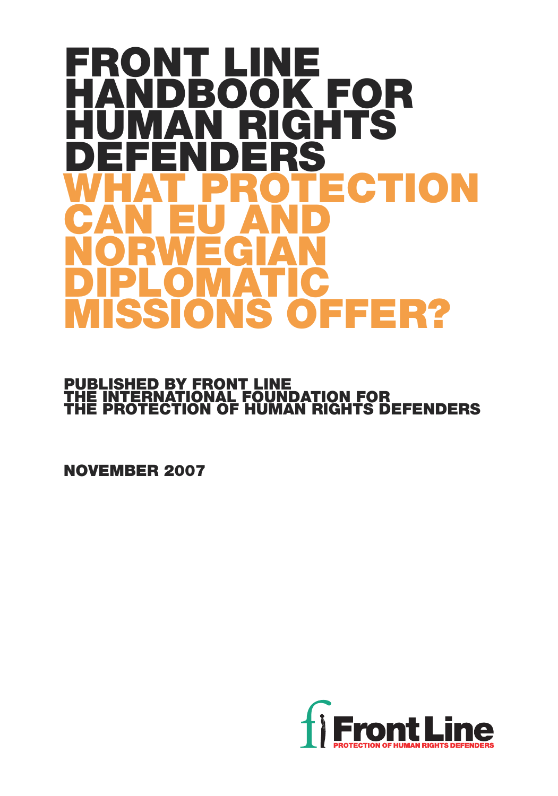# **FRONT LINE HANDBOOK FOR AN RIGHTS<br>INDERS DEFENDERS ECTION CAN EU AND NORWEGIAN DIPLOMATIC MISSIONS OFFER?**

## **PUBLISHED BY FRONT LINE THE INTERNATIONAL FOUNDATION FOR THE PROTECTION OF HUMAN RIGHTS DEFENDERS**

**NOVEMBER 2007**

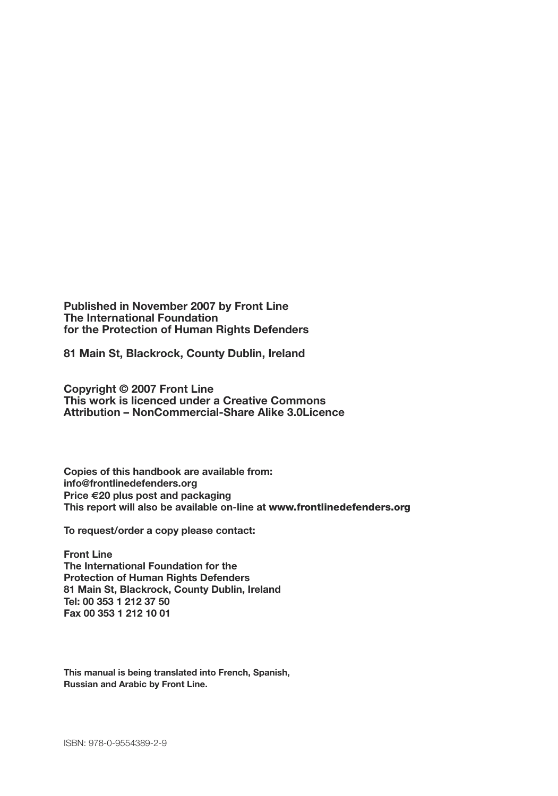**Published in November 2007 by Front Line The International Foundation for the Protection of Human Rights Defenders**

**81 Main St, Blackrock, County Dublin, Ireland**

**Copyright © 2007 Front Line This work is licenced under a Creative Commons Attribution – NonCommercial-Share Alike 3.0Licence**

**Copies of this handbook are available from: info@frontlinedefenders.org Price €20 plus post and packaging This report will also be available on-line at www.frontlinedefenders.org**

**To request/order a copy please contact:**

**Front Line The International Foundation for the Protection of Human Rights Defenders 81 Main St, Blackrock, County Dublin, Ireland Tel: 00 353 1 212 37 50 Fax 00 353 1 212 10 01**

**This manual is being translated into French, Spanish, Russian and Arabic by Front Line.**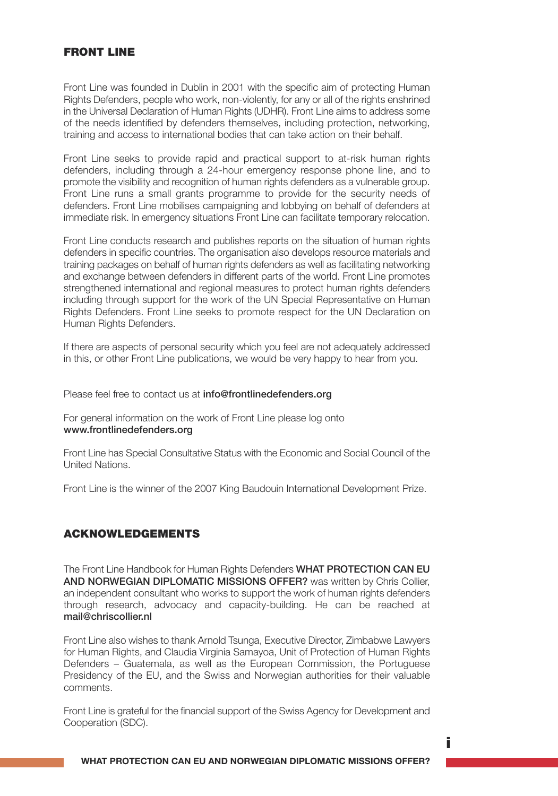## **FRONT LINE**

Front Line was founded in Dublin in 2001 with the specific aim of protecting Human Rights Defenders, people who work, non-violently, for any or all of the rights enshrined in the Universal Declaration of Human Rights (UDHR). Front Line aims to address some of the needs identified by defenders themselves, including protection, networking, training and access to international bodies that can take action on their behalf.

Front Line seeks to provide rapid and practical support to at-risk human rights defenders, including through a 24-hour emergency response phone line, and to promote the visibility and recognition of human rights defenders as a vulnerable group. Front Line runs a small grants programme to provide for the security needs of defenders. Front Line mobilises campaigning and lobbying on behalf of defenders at immediate risk. In emergency situations Front Line can facilitate temporary relocation.

Front Line conducts research and publishes reports on the situation of human rights defenders in specific countries. The organisation also develops resource materials and training packages on behalf of human rights defenders as well as facilitating networking and exchange between defenders in different parts of the world. Front Line promotes strengthened international and regional measures to protect human rights defenders including through support for the work of the UN Special Representative on Human Rights Defenders. Front Line seeks to promote respect for the UN Declaration on Human Rights Defenders.

If there are aspects of personal security which you feel are not adequately addressed in this, or other Front Line publications, we would be very happy to hear from you.

Please feel free to contact us at **info@frontlinedefenders.org** 

For general information on the work of Front Line please log onto www.frontlinedefenders.org

Front Line has Special Consultative Status with the Economic and Social Council of the United Nations.

Front Line is the winner of the 2007 King Baudouin International Development Prize.

### **ACKNOWLEDGEMENTS**

The Front Line Handbook for Human Rights Defenders WHAT PROTECTION CAN EU AND NORWEGIAN DIPLOMATIC MISSIONS OFFER? was written by Chris Collier, an independent consultant who works to support the work of human rights defenders through research, advocacy and capacity-building. He can be reached at mail@chriscollier.nl

Front Line also wishes to thank Arnold Tsunga, Executive Director, Zimbabwe Lawyers for Human Rights, and Claudia Virginia Samayoa, Unit of Protection of Human Rights Defenders – Guatemala, as well as the European Commission, the Portuguese Presidency of the EU, and the Swiss and Norwegian authorities for their valuable comments.

Front Line is grateful for the financial support of the Swiss Agency for Development and Cooperation (SDC).

**i**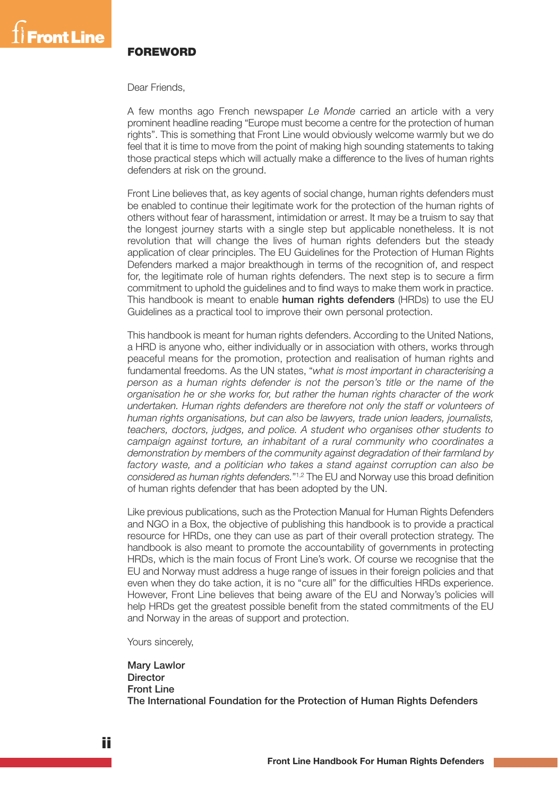

#### **FOREWORD**

Dear Friends,

A few months ago French newspaper *Le Monde* carried an article with a very prominent headline reading "Europe must become a centre for the protection of human rights". This is something that Front Line would obviously welcome warmly but we do feel that it is time to move from the point of making high sounding statements to taking those practical steps which will actually make a difference to the lives of human rights defenders at risk on the ground.

Front Line believes that, as key agents of social change, human rights defenders must be enabled to continue their legitimate work for the protection of the human rights of others without fear of harassment, intimidation or arrest. It may be a truism to say that the longest journey starts with a single step but applicable nonetheless. It is not revolution that will change the lives of human rights defenders but the steady application of clear principles. The EU Guidelines for the Protection of Human Rights Defenders marked a major breakthough in terms of the recognition of, and respect for, the legitimate role of human rights defenders. The next step is to secure a firm commitment to uphold the guidelines and to find ways to make them work in practice. This handbook is meant to enable human rights defenders (HRDs) to use the EU Guidelines as a practical tool to improve their own personal protection.

This handbook is meant for human rights defenders. According to the United Nations, a HRD is anyone who, either individually or in association with others, works through peaceful means for the promotion, protection and realisation of human rights and fundamental freedoms. As the UN states, "*what is most important in characterising a person as a human rights defender is not the person's title or the name of the organisation he or she works for, but rather the human rights character of the work undertaken. Human rights defenders are therefore not only the staff or volunteers of human rights organisations, but can also be lawyers, trade union leaders, journalists, teachers, doctors, judges, and police. A student who organises other students to campaign against torture, an inhabitant of a rural community who coordinates a demonstration by members of the community against degradation of their farmland by factory waste, and a politician who takes a stand against corruption can also be considered as human rights defenders.*"1,2 The EU and Norway use this broad definition of human rights defender that has been adopted by the UN.

Like previous publications, such as the Protection Manual for Human Rights Defenders and NGO in a Box, the objective of publishing this handbook is to provide a practical resource for HRDs, one they can use as part of their overall protection strategy. The handbook is also meant to promote the accountability of governments in protecting HRDs, which is the main focus of Front Line's work. Of course we recognise that the EU and Norway must address a huge range of issues in their foreign policies and that even when they do take action, it is no "cure all" for the difficulties HRDs experience. However, Front Line believes that being aware of the EU and Norway's policies will help HRDs get the greatest possible benefit from the stated commitments of the EU and Norway in the areas of support and protection.

Yours sincerely,

Mary Lawlor **Director** Front Line The International Foundation for the Protection of Human Rights Defenders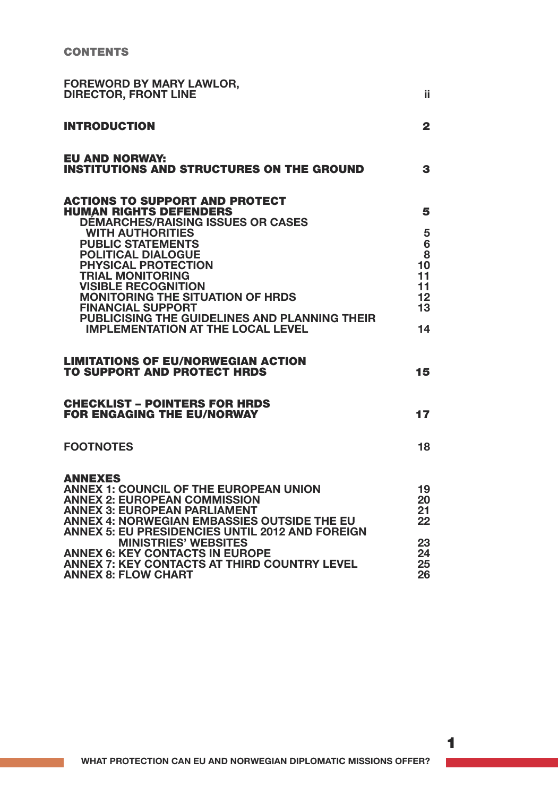| <b>FOREWORD BY MARY LAWLOR,</b><br><b>DIRECTOR, FRONT LINE</b>                                                                                                                                                                                                                                                                                                                                                                                                                                                                                       | ii                                                         |
|------------------------------------------------------------------------------------------------------------------------------------------------------------------------------------------------------------------------------------------------------------------------------------------------------------------------------------------------------------------------------------------------------------------------------------------------------------------------------------------------------------------------------------------------------|------------------------------------------------------------|
| <b>INTRODUCTION</b>                                                                                                                                                                                                                                                                                                                                                                                                                                                                                                                                  | $\overline{2}$                                             |
| EU AND NORWAY:<br><b>INSTITUTIONS AND STRUCTURES ON THE GROUND</b>                                                                                                                                                                                                                                                                                                                                                                                                                                                                                   | 3                                                          |
| <b>ACTIONS TO SUPPORT AND PROTECT</b><br><b>HUMAN RIGHTS DEFENDERS</b><br><b>DÉMARCHES/RAISING ISSUES OR CASES</b><br><b>WITH AUTHORITIES</b><br><b>PUBLIC STATEMENTS</b><br><b>POLITICAL DIALOGUE</b><br><b>PHYSICAL PROTECTION</b><br><b>TRIAL MONITORING</b><br><b>VISIBLE RECOGNITION</b><br><b>MONITORING THE SITUATION OF HRDS</b><br><b>FINANCIAL SUPPORT</b><br>PUBLICISING THE GUIDELINES AND PLANNING THEIR<br><b>IMPLEMENTATION AT THE LOCAL LEVEL</b><br><b>LIMITATIONS OF EU/NORWEGIAN ACTION</b><br><b>TO SUPPORT AND PROTECT HRDS</b> | 5<br>5<br>6<br>8<br>10<br>11<br>11<br>12<br>13<br>14<br>15 |
| <b>CHECKLIST - POINTERS FOR HRDS</b>                                                                                                                                                                                                                                                                                                                                                                                                                                                                                                                 |                                                            |
| <b>FOR ENGAGING THE EU/NORWAY</b>                                                                                                                                                                                                                                                                                                                                                                                                                                                                                                                    | 17                                                         |
| <b>FOOTNOTES</b>                                                                                                                                                                                                                                                                                                                                                                                                                                                                                                                                     | 18                                                         |
| <b>ANNEXES</b><br><b>ANNEX 1: COUNCIL OF THE EUROPEAN UNION</b><br><b>ANNEX 2: EUROPEAN COMMISSION</b><br><b>ANNEX 3: EUROPEAN PARLIAMENT</b><br>ANNEX 4: NORWEGIAN EMBASSIES OUTSIDE THE EU<br><b>ANNEX 5: EU PRESIDENCIES UNTIL 2012 AND FOREIGN</b><br><b>MINISTRIES' WEBSITES</b><br><b>ANNEX 6: KEY CONTACTS IN EUROPE</b><br>ANNEX 7: KEY CONTACTS AT THIRD COUNTRY LEVEL<br><b>ANNEX 8: FLOW CHART</b>                                                                                                                                        | 19<br>20<br>21<br>22<br>23<br>24<br>25<br>26               |

**1**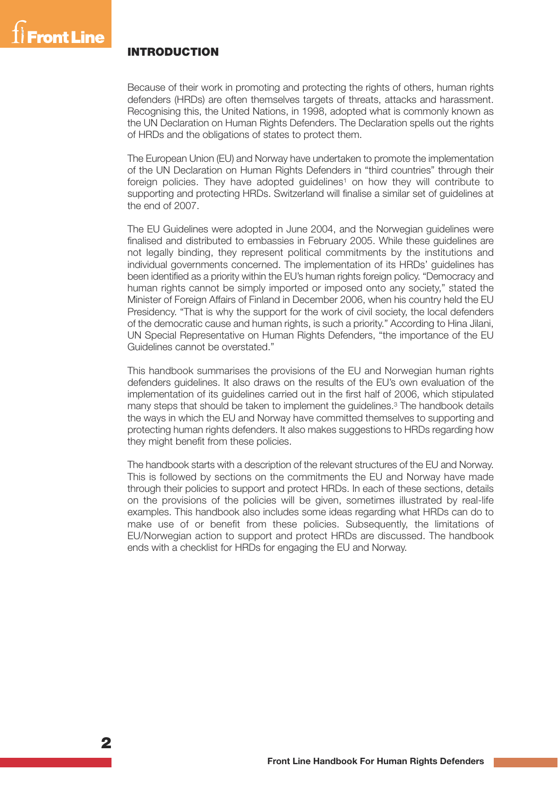## **INTRODUCTION**

Because of their work in promoting and protecting the rights of others, human rights defenders (HRDs) are often themselves targets of threats, attacks and harassment. Recognising this, the United Nations, in 1998, adopted what is commonly known as the UN Declaration on Human Rights Defenders. The Declaration spells out the rights of HRDs and the obligations of states to protect them.

The European Union (EU) and Norway have undertaken to promote the implementation of the UN Declaration on Human Rights Defenders in "third countries" through their foreign policies. They have adopted guidelines<sup>1</sup> on how they will contribute to supporting and protecting HRDs. Switzerland will finalise a similar set of guidelines at the end of 2007.

The EU Guidelines were adopted in June 2004, and the Norwegian guidelines were finalised and distributed to embassies in February 2005. While these guidelines are not legally binding, they represent political commitments by the institutions and individual governments concerned. The implementation of its HRDs' guidelines has been identified as a priority within the EU's human rights foreign policy. "Democracy and human rights cannot be simply imported or imposed onto any society," stated the Minister of Foreign Affairs of Finland in December 2006, when his country held the EU Presidency. "That is why the support for the work of civil society, the local defenders of the democratic cause and human rights, is such a priority." According to Hina Jilani, UN Special Representative on Human Rights Defenders, "the importance of the EU Guidelines cannot be overstated."

This handbook summarises the provisions of the EU and Norwegian human rights defenders guidelines. It also draws on the results of the EU's own evaluation of the implementation of its guidelines carried out in the first half of 2006, which stipulated many steps that should be taken to implement the guidelines. <sup>3</sup> The handbook details the ways in which the EU and Norway have committed themselves to supporting and protecting human rights defenders. It also makes suggestions to HRDs regarding how they might benefit from these policies.

The handbook starts with a description of the relevant structures of the EU and Norway. This is followed by sections on the commitments the EU and Norway have made through their policies to support and protect HRDs. In each of these sections, details on the provisions of the policies will be given, sometimes illustrated by real-life examples. This handbook also includes some ideas regarding what HRDs can do to make use of or benefit from these policies. Subsequently, the limitations of EU/Norwegian action to support and protect HRDs are discussed. The handbook ends with a checklist for HRDs for engaging the EU and Norway.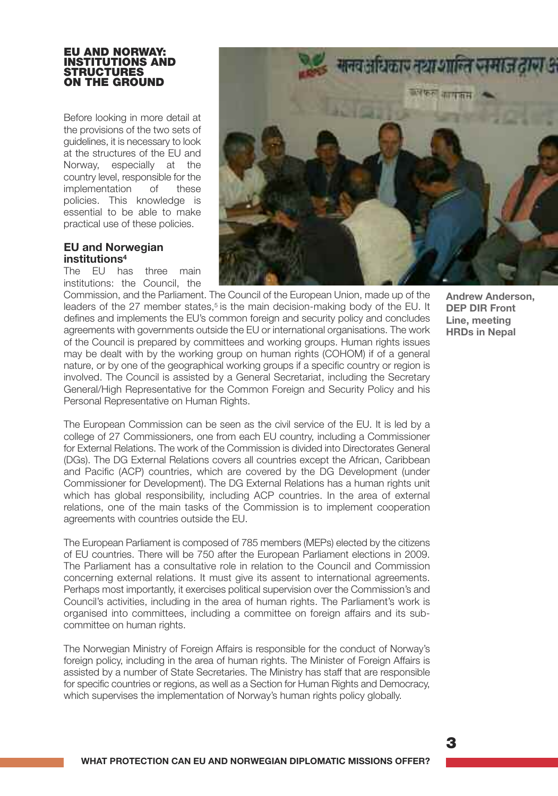#### **EU AND NORWAY: INSTITUTIONS AND STRUCTURES ON THE GROUND**

Before looking in more detail at the provisions of the two sets of guidelines, it is necessary to look at the structures of the EU and Norway, especially at the country level, responsible for the<br>implementation of these implementation of these policies. This knowledge is essential to be able to make practical use of these policies.

## **EU and Norwegian institutions4**

The EU has three main institutions: the Council, the

agreements with countries outside the EU.



Commission, and the Parliament. The Council of the European Union, made up of the leaders of the 27 member states,<sup>5</sup> is the main decision-making body of the EU. It defines and implements the EU's common foreign and security policy and concludes agreements with governments outside the EU or international organisations. The work of the Council is prepared by committees and working groups. Human rights issues may be dealt with by the working group on human rights (COHOM) if of a general nature, or by one of the geographical working groups if a specific country or region is involved. The Council is assisted by a General Secretariat, including the Secretary General/High Representative for the Common Foreign and Security Policy and his

Personal Representative on Human Rights. The European Commission can be seen as the civil service of the EU. It is led by a college of 27 Commissioners, one from each EU country, including a Commissioner for External Relations. The work of the Commission is divided into Directorates General (DGs). The DG External Relations covers all countries except the African, Caribbean and Pacific (ACP) countries, which are covered by the DG Development (under Commissioner for Development). The DG External Relations has a human rights unit which has global responsibility, including ACP countries. In the area of external relations, one of the main tasks of the Commission is to implement cooperation

The European Parliament is composed of 785 members (MEPs) elected by the citizens of EU countries. There will be 750 after the European Parliament elections in 2009. The Parliament has a consultative role in relation to the Council and Commission concerning external relations. It must give its assent to international agreements. Perhaps most importantly, it exercises political supervision over the Commission's and Council's activities, including in the area of human rights. The Parliament's work is organised into committees, including a committee on foreign affairs and its subcommittee on human rights.

The Norwegian Ministry of Foreign Affairs is responsible for the conduct of Norway's foreign policy, including in the area of human rights. The Minister of Foreign Affairs is assisted by a number of State Secretaries. The Ministry has staff that are responsible for specific countries or regions, as well as a Section for Human Rights and Democracy, which supervises the implementation of Norway's human rights policy globally.

**3**

**Andrew Anderson, DEP DIR Front Line, meeting HRDs in Nepal**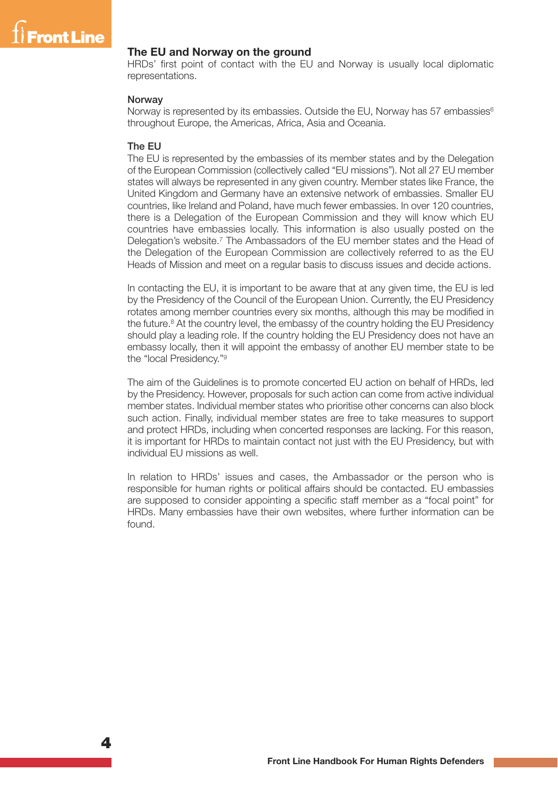

#### **The EU and Norway on the ground**

HRDs' first point of contact with the EU and Norway is usually local diplomatic representations.

#### **Norway**

Norway is represented by its embassies. Outside the EU, Norway has 57 embassies<sup>6</sup> throughout Europe, the Americas, Africa, Asia and Oceania.

#### The EU

The EU is represented by the embassies of its member states and by the Delegation of the European Commission (collectively called "EU missions"). Not all 27 EU member states will always be represented in any given country. Member states like France, the United Kingdom and Germany have an extensive network of embassies. Smaller EU countries, like Ireland and Poland, have much fewer embassies. In over 120 countries, there is a Delegation of the European Commission and they will know which EU countries have embassies locally. This information is also usually posted on the Delegation's website. <sup>7</sup> The Ambassadors of the EU member states and the Head of the Delegation of the European Commission are collectively referred to as the EU Heads of Mission and meet on a regular basis to discuss issues and decide actions.

In contacting the EU, it is important to be aware that at any given time, the EU is led by the Presidency of the Council of the European Union. Currently, the EU Presidency rotates among member countries every six months, although this may be modified in the future. <sup>8</sup> At the country level, the embassy of the country holding the EU Presidency should play a leading role. If the country holding the EU Presidency does not have an embassy locally, then it will appoint the embassy of another EU member state to be the "local Presidency."9

The aim of the Guidelines is to promote concerted EU action on behalf of HRDs, led by the Presidency. However, proposals for such action can come from active individual member states. Individual member states who prioritise other concerns can also block such action. Finally, individual member states are free to take measures to support and protect HRDs, including when concerted responses are lacking. For this reason, it is important for HRDs to maintain contact not just with the EU Presidency, but with individual EU missions as well.

In relation to HRDs' issues and cases, the Ambassador or the person who is responsible for human rights or political affairs should be contacted. EU embassies are supposed to consider appointing a specific staff member as a "focal point" for HRDs. Many embassies have their own websites, where further information can be found.

**4**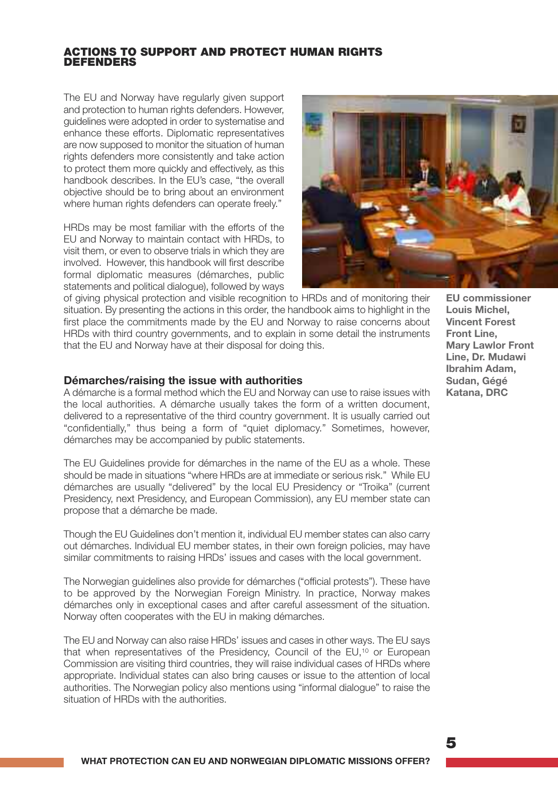#### **ACTIONS TO SUPPORT AND PROTECT HUMAN RIGHTS DEFENDERS**

The EU and Norway have regularly given support and protection to human rights defenders. However, guidelines were adopted in order to systematise and enhance these efforts. Diplomatic representatives are now supposed to monitor the situation of human rights defenders more consistently and take action to protect them more quickly and effectively, as this handbook describes. In the EU's case, "the overall objective should be to bring about an environment where human rights defenders can operate freely."

HRDs may be most familiar with the efforts of the EU and Norway to maintain contact with HRDs, to visit them, or even to observe trials in which they are involved. However, this handbook will first describe formal diplomatic measures (démarches, public statements and political dialogue), followed by ways



of giving physical protection and visible recognition to HRDs and of monitoring their situation. By presenting the actions in this order, the handbook aims to highlight in the first place the commitments made by the EU and Norway to raise concerns about HRDs with third country governments, and to explain in some detail the instruments that the EU and Norway have at their disposal for doing this.

#### **Démarches/raising the issue with authorities**

A démarche is a formal method which the EU and Norway can use to raise issues with the local authorities. A démarche usually takes the form of a written document, delivered to a representative of the third country government. It is usually carried out "confidentially," thus being a form of "quiet diplomacy." Sometimes, however, démarches may be accompanied by public statements.

The EU Guidelines provide for démarches in the name of the EU as a whole. These should be made in situations "where HRDs are at immediate or serious risk." While EU démarches are usually "delivered" by the local EU Presidency or "Troika" (current Presidency, next Presidency, and European Commission), any EU member state can propose that a démarche be made.

Though the EU Guidelines don't mention it, individual EU member states can also carry out démarches. Individual EU member states, in their own foreign policies, may have similar commitments to raising HRDs' issues and cases with the local government.

The Norwegian guidelines also provide for démarches ("official protests"). These have to be approved by the Norwegian Foreign Ministry. In practice, Norway makes démarches only in exceptional cases and after careful assessment of the situation. Norway often cooperates with the EU in making démarches.

The EU and Norway can also raise HRDs' issues and cases in other ways. The EU says that when representatives of the Presidency, Council of the EU,<sup>10</sup> or European Commission are visiting third countries, they will raise individual cases of HRDs where appropriate. Individual states can also bring causes or issue to the attention of local authorities. The Norwegian policy also mentions using "informal dialogue" to raise the situation of HRDs with the authorities.

**EU commissioner Louis Michel, Vincent Forest Front Line, Mary Lawlor Front Line, Dr. Mudawi Ibrahim Adam, Sudan, Gégé Katana, DRC**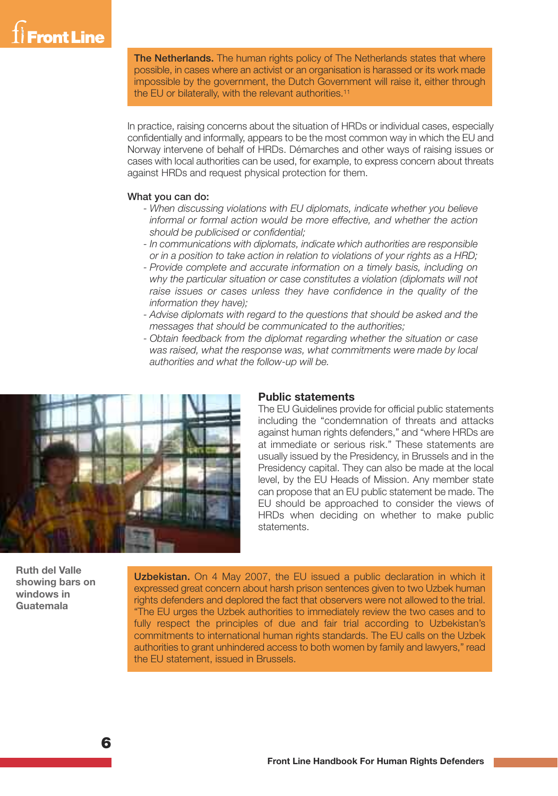## Front Line

The Netherlands. The human rights policy of The Netherlands states that where possible, in cases where an activist or an organisation is harassed or its work made impossible by the government, the Dutch Government will raise it, either through the EU or bilaterally, with the relevant authorities. 11

In practice, raising concerns about the situation of HRDs or individual cases, especially confidentially and informally, appears to be the most common way in which the EU and Norway intervene of behalf of HRDs. Démarches and other ways of raising issues or cases with local authorities can be used, for example, to express concern about threats against HRDs and request physical protection for them.

#### What you can do:

- *- When discussing violations with EU diplomats, indicate whether you believe informal or formal action would be more effective, and whether the action should be publicised or confidential;*
- *- In communications with diplomats, indicate which authorities are responsible or in a position to take action in relation to violations of your rights as a HRD;*
- *- Provide complete and accurate information on a timely basis, including on why the particular situation or case constitutes a violation (diplomats will not raise issues or cases unless they have confidence in the quality of the information they have);*
- *- Advise diplomats with regard to the questions that should be asked and the messages that should be communicated to the authorities;*
- *- Obtain feedback from the diplomat regarding whether the situation or case was raised, what the response was, what commitments were made by local authorities and what the follow-up will be.*



#### **Public statements**

The EU Guidelines provide for official public statements including the "condemnation of threats and attacks against human rights defenders," and "where HRDs are at immediate or serious risk." These statements are usually issued by the Presidency, in Brussels and in the Presidency capital. They can also be made at the local level, by the EU Heads of Mission. Any member state can propose that an EU public statement be made. The EU should be approached to consider the views of HRDs when deciding on whether to make public statements.

**Ruth del Valle showing bars on windows in Guatemala**

Uzbekistan. On 4 May 2007, the EU issued a public declaration in which it expressed great concern about harsh prison sentences given to two Uzbek human rights defenders and deplored the fact that observers were not allowed to the trial. "The EU urges the Uzbek authorities to immediately review the two cases and to fully respect the principles of due and fair trial according to Uzbekistan's commitments to international human rights standards. The EU calls on the Uzbek authorities to grant unhindered access to both women by family and lawyers," read the EU statement, issued in Brussels.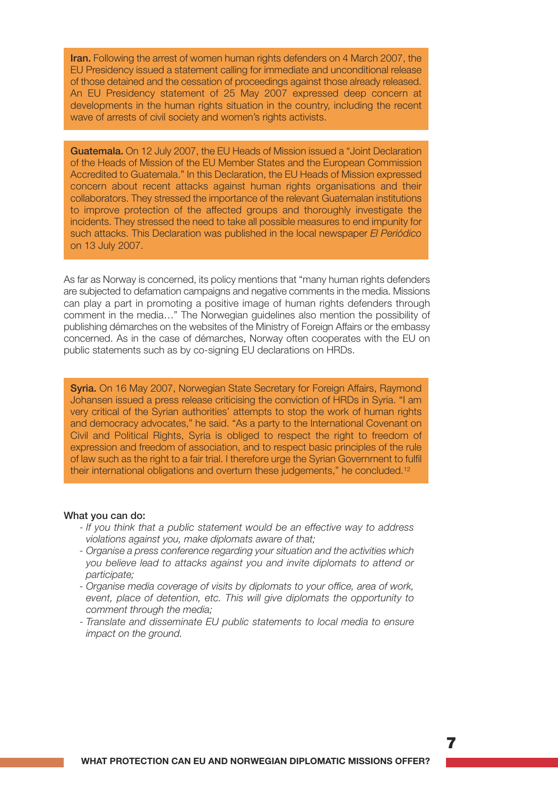Iran. Following the arrest of women human rights defenders on 4 March 2007, the EU Presidency issued a statement calling for immediate and unconditional release of those detained and the cessation of proceedings against those already released. An EU Presidency statement of 25 May 2007 expressed deep concern at developments in the human rights situation in the country, including the recent wave of arrests of civil society and women's rights activists.

Guatemala. On 12 July 2007, the EU Heads of Mission issued a "Joint Declaration of the Heads of Mission of the EU Member States and the European Commission Accredited to Guatemala." In this Declaration, the EU Heads of Mission expressed concern about recent attacks against human rights organisations and their collaborators. They stressed the importance of the relevant Guatemalan institutions to improve protection of the affected groups and thoroughly investigate the incidents. They stressed the need to take all possible measures to end impunity for such attacks. This Declaration was published in the local newspaper *El Periódico* on 13 July 2007.

As far as Norway is concerned, its policy mentions that "many human rights defenders are subjected to defamation campaigns and negative comments in the media. Missions can play a part in promoting a positive image of human rights defenders through comment in the media…" The Norwegian guidelines also mention the possibility of publishing démarches on the websites of the Ministry of Foreign Affairs or the embassy concerned. As in the case of démarches, Norway often cooperates with the EU on public statements such as by co-signing EU declarations on HRDs.

Syria. On 16 May 2007, Norwegian State Secretary for Foreign Affairs, Raymond Johansen issued a press release criticising the conviction of HRDs in Syria. "I am very critical of the Syrian authorities' attempts to stop the work of human rights and democracy advocates," he said. "As a party to the International Covenant on Civil and Political Rights, Syria is obliged to respect the right to freedom of expression and freedom of association, and to respect basic principles of the rule of law such as the right to a fair trial. I therefore urge the Syrian Government to fulfil their international obligations and overturn these judgements," he concluded.<sup>12</sup>

#### What you can do:

- *- If you think that a public statement would be an effective way to address violations against you, make diplomats aware of that;*
- *- Organise a press conference regarding your situation and the activities which you believe lead to attacks against you and invite diplomats to attend or participate;*
- *- Organise media coverage of visits by diplomats to your office, area of work, event, place of detention, etc. This will give diplomats the opportunity to comment through the media;*
- *- Translate and disseminate EU public statements to local media to ensure impact on the ground.*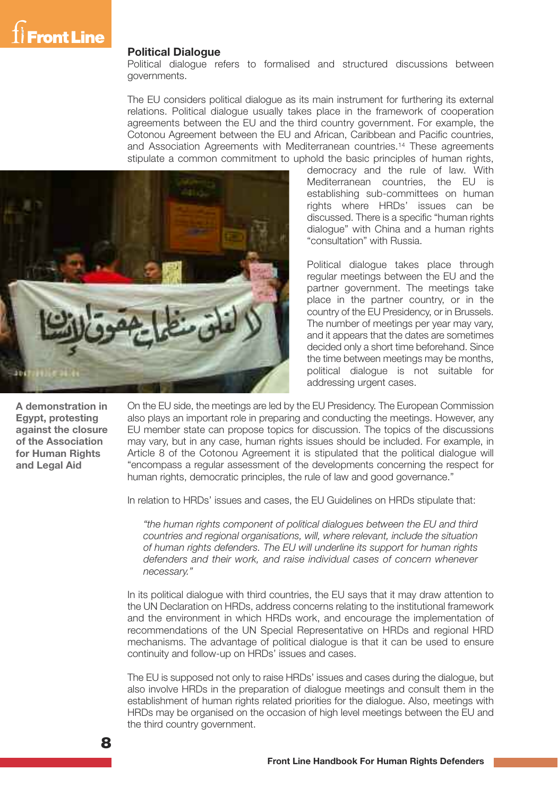#### **Political Dialogue**

Political dialogue refers to formalised and structured discussions between governments.

The EU considers political dialogue as its main instrument for furthering its external relations. Political dialogue usually takes place in the framework of cooperation agreements between the EU and the third country government. For example, the Cotonou Agreement between the EU and African, Caribbean and Pacific countries, and Association Agreements with Mediterranean countries.14 These agreements stipulate a common commitment to uphold the basic principles of human rights,



democracy and the rule of law. With Mediterranean countries, the EU is establishing sub-committees on human rights where HRDs' issues can be discussed. There is a specific "human rights dialogue" with China and a human rights "consultation" with Russia.

Political dialogue takes place through regular meetings between the EU and the partner government. The meetings take place in the partner country, or in the country of the EU Presidency, or in Brussels. The number of meetings per year may vary, and it appears that the dates are sometimes decided only a short time beforehand. Since the time between meetings may be months, political dialogue is not suitable for addressing urgent cases.

**A demonstration in Egypt, protesting against the closure of the Association for Human Rights and Legal Aid**

On the EU side, the meetings are led by the EU Presidency. The European Commission also plays an important role in preparing and conducting the meetings. However, any EU member state can propose topics for discussion. The topics of the discussions may vary, but in any case, human rights issues should be included. For example, in Article 8 of the Cotonou Agreement it is stipulated that the political dialogue will "encompass a regular assessment of the developments concerning the respect for human rights, democratic principles, the rule of law and good governance."

In relation to HRDs' issues and cases, the EU Guidelines on HRDs stipulate that:

*"the human rights component of political dialogues between the EU and third countries and regional organisations, will, where relevant, include the situation of human rights defenders. The EU will underline its support for human rights defenders and their work, and raise individual cases of concern whenever necessary."*

In its political dialogue with third countries, the EU says that it may draw attention to the UN Declaration on HRDs, address concerns relating to the institutional framework and the environment in which HRDs work, and encourage the implementation of recommendations of the UN Special Representative on HRDs and regional HRD mechanisms. The advantage of political dialogue is that it can be used to ensure continuity and follow-up on HRDs' issues and cases.

The EU is supposed not only to raise HRDs' issues and cases during the dialogue, but also involve HRDs in the preparation of dialogue meetings and consult them in the establishment of human rights related priorities for the dialogue. Also, meetings with HRDs may be organised on the occasion of high level meetings between the EU and the third country government.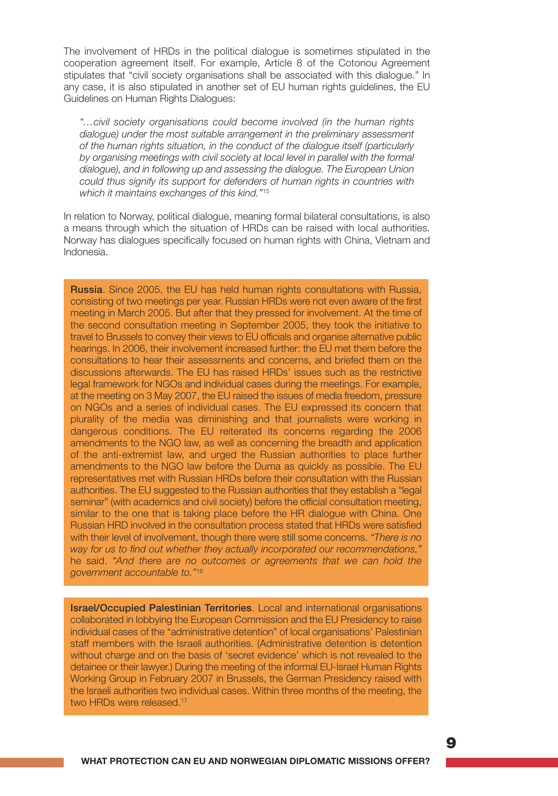The involvement of HRDs in the political dialogue is sometimes stipulated in the cooperation agreement itself. For example, Article 8 of the Cotonou Agreement stipulates that "civil society organisations shall be associated with this dialogue." In any case, it is also stipulated in another set of EU human rights guidelines, the EU Guidelines on Human Rights Dialogues:

*"…civil society organisations could become involved (in the human rights dialogue) under the most suitable arrangement in the preliminary assessment of the human rights situation, in the conduct of the dialogue itself (particularly by organising meetings with civil society at local level in parallel with the formal dialogue), and in following up and assessing the dialogue. The European Union could thus signify its support for defenders of human rights in countries with which it maintains exchanges of this kind."*<sup>15</sup>

In relation to Norway, political dialogue, meaning formal bilateral consultations, is also a means through which the situation of HRDs can be raised with local authorities. Norway has dialogues specifically focused on human rights with China, Vietnam and Indonesia.

Russia. Since 2005, the EU has held human rights consultations with Russia, consisting of two meetings per year. Russian HRDs were not even aware of the first meeting in March 2005. But after that they pressed for involvement. At the time of the second consultation meeting in September 2005, they took the initiative to travel to Brussels to convey their views to EU officials and organise alternative public hearings. In 2006, their involvement increased further: the EU met them before the consultations to hear their assessments and concerns, and briefed them on the discussions afterwards. The EU has raised HRDs' issues such as the restrictive legal framework for NGOs and individual cases during the meetings. For example, at the meeting on 3 May 2007, the EU raised the issues of media freedom, pressure on NGOs and a series of individual cases. The EU expressed its concern that plurality of the media was diminishing and that journalists were working in dangerous conditions. The EU reiterated its concerns regarding the 2006 amendments to the NGO law, as well as concerning the breadth and application of the anti-extremist law, and urged the Russian authorities to place further amendments to the NGO law before the Duma as quickly as possible. The EU representatives met with Russian HRDs before their consultation with the Russian authorities. The EU suggested to the Russian authorities that they establish a "legal seminar" (with academics and civil society) before the official consultation meeting, similar to the one that is taking place before the HR dialogue with China. One Russian HRD involved in the consultation process stated that HRDs were satisfied with their level of involvement, though there were still some concerns. *"There is no way for us to find out whether they actually incorporated our recommendations,"* he said. *"And there are no outcomes or agreements that we can hold the government accountable to."*<sup>16</sup>

Israel/Occupied Palestinian Territories. Local and international organisations collaborated in lobbying the European Commission and the EU Presidency to raise individual cases of the "administrative detention" of local organisations' Palestinian staff members with the Israeli authorities. (Administrative detention is detention without charge and on the basis of 'secret evidence' which is not revealed to the detainee or their lawyer.) During the meeting of the informal EU-Israel Human Rights Working Group in February 2007 in Brussels, the German Presidency raised with the Israeli authorities two individual cases. Within three months of the meeting, the two HRDs were released. 17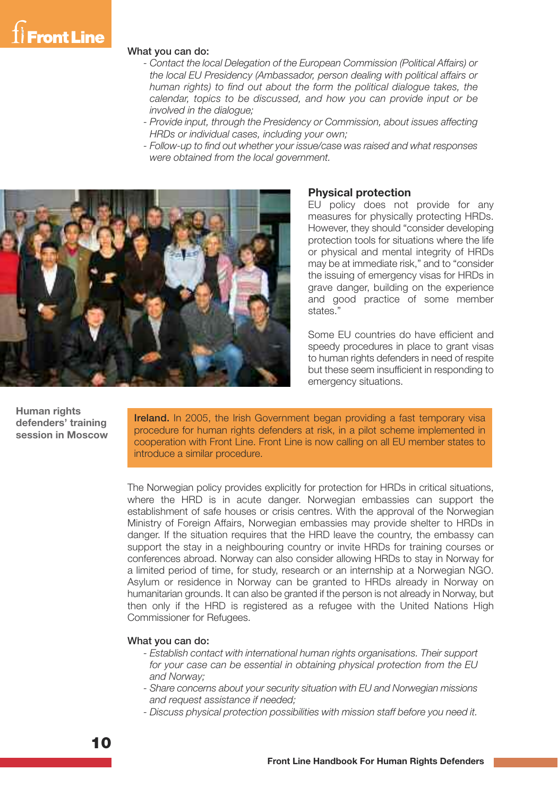

#### What you can do:

- *- Contact the local Delegation of the European Commission (Political Affairs) or the local EU Presidency (Ambassador, person dealing with political affairs or human rights) to find out about the form the political dialogue takes, the calendar, topics to be discussed, and how you can provide input or be involved in the dialogue;*
- *- Provide input, through the Presidency or Commission, about issues affecting HRDs or individual cases, including your own;*
- *- Follow-up to find out whether your issue/case was raised and what responses were obtained from the local government.*



#### **Physical protection**

EU policy does not provide for any measures for physically protecting HRDs. However, they should "consider developing protection tools for situations where the life or physical and mental integrity of HRDs may be at immediate risk," and to "consider the issuing of emergency visas for HRDs in grave danger, building on the experience and good practice of some member states."

Some EU countries do have efficient and speedy procedures in place to grant visas to human rights defenders in need of respite but these seem insufficient in responding to emergency situations.

**Human rights defenders' training session in Moscow**

Ireland. In 2005, the Irish Government began providing a fast temporary visa procedure for human rights defenders at risk, in a pilot scheme implemented in cooperation with Front Line. Front Line is now calling on all EU member states to introduce a similar procedure.

The Norwegian policy provides explicitly for protection for HRDs in critical situations, where the HRD is in acute danger. Norwegian embassies can support the establishment of safe houses or crisis centres. With the approval of the Norwegian Ministry of Foreign Affairs, Norwegian embassies may provide shelter to HRDs in danger. If the situation requires that the HRD leave the country, the embassy can support the stay in a neighbouring country or invite HRDs for training courses or conferences abroad. Norway can also consider allowing HRDs to stay in Norway for a limited period of time, for study, research or an internship at a Norwegian NGO. Asylum or residence in Norway can be granted to HRDs already in Norway on humanitarian grounds. It can also be granted if the person is not already in Norway, but then only if the HRD is registered as a refugee with the United Nations High Commissioner for Refugees.

#### What you can do:

- *- Establish contact with international human rights organisations. Their support for your case can be essential in obtaining physical protection from the EU and Norway;*
- *- Share concerns about your security situation with EU and Norwegian missions and request assistance if needed;*
- *- Discuss physical protection possibilities with mission staff before you need it.*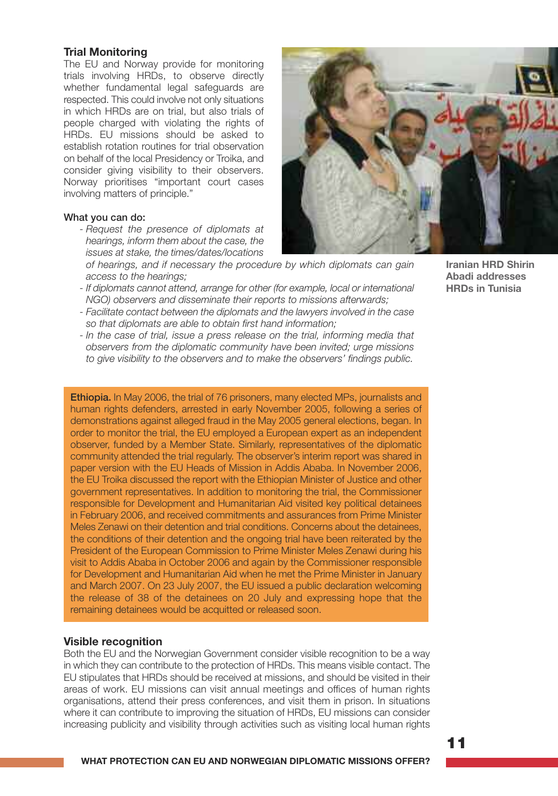#### **Trial Monitoring**

The EU and Norway provide for monitoring trials involving HRDs, to observe directly whether fundamental legal safeguards are respected. This could involve not only situations in which HRDs are on trial, but also trials of people charged with violating the rights of HRDs. EU missions should be asked to establish rotation routines for trial observation on behalf of the local Presidency or Troika, and consider giving visibility to their observers. Norway prioritises "important court cases involving matters of principle."

#### What you can do:

*- Request the presence of diplomats at hearings, inform them about the case, the issues at stake, the times/dates/locations*



*of hearings, and if necessary the procedure by which diplomats can gain access to the hearings;*

- *- If diplomats cannot attend, arrange for other (for example, local or international NGO) observers and disseminate their reports to missions afterwards;*
- *- Facilitate contact between the diplomats and the lawyers involved in the case so that diplomats are able to obtain first hand information;*
- *- In the case of trial, issue a press release on the trial, informing media that observers from the diplomatic community have been invited; urge missions to give visibility to the observers and to make the observers' findings public.*

Ethiopia. In May 2006, the trial of 76 prisoners, many elected MPs, journalists and human rights defenders, arrested in early November 2005, following a series of demonstrations against alleged fraud in the May 2005 general elections, began. In order to monitor the trial, the EU employed a European expert as an independent observer, funded by a Member State. Similarly, representatives of the diplomatic community attended the trial regularly. The observer's interim report was shared in paper version with the EU Heads of Mission in Addis Ababa. In November 2006, the EU Troika discussed the report with the Ethiopian Minister of Justice and other government representatives. In addition to monitoring the trial, the Commissioner responsible for Development and Humanitarian Aid visited key political detainees in February 2006, and received commitments and assurances from Prime Minister Meles Zenawi on their detention and trial conditions. Concerns about the detainees, the conditions of their detention and the ongoing trial have been reiterated by the President of the European Commission to Prime Minister Meles Zenawi during his visit to Addis Ababa in October 2006 and again by the Commissioner responsible for Development and Humanitarian Aid when he met the Prime Minister in January and March 2007. On 23 July 2007, the EU issued a public declaration welcoming the release of 38 of the detainees on 20 July and expressing hope that the remaining detainees would be acquitted or released soon.

#### **Visible recognition**

Both the EU and the Norwegian Government consider visible recognition to be a way in which they can contribute to the protection of HRDs. This means visible contact. The EU stipulates that HRDs should be received at missions, and should be visited in their areas of work. EU missions can visit annual meetings and offices of human rights organisations, attend their press conferences, and visit them in prison. In situations where it can contribute to improving the situation of HRDs, EU missions can consider increasing publicity and visibility through activities such as visiting local human rights

**Iranian HRD Shirin Abadi addresses HRDs in Tunisia**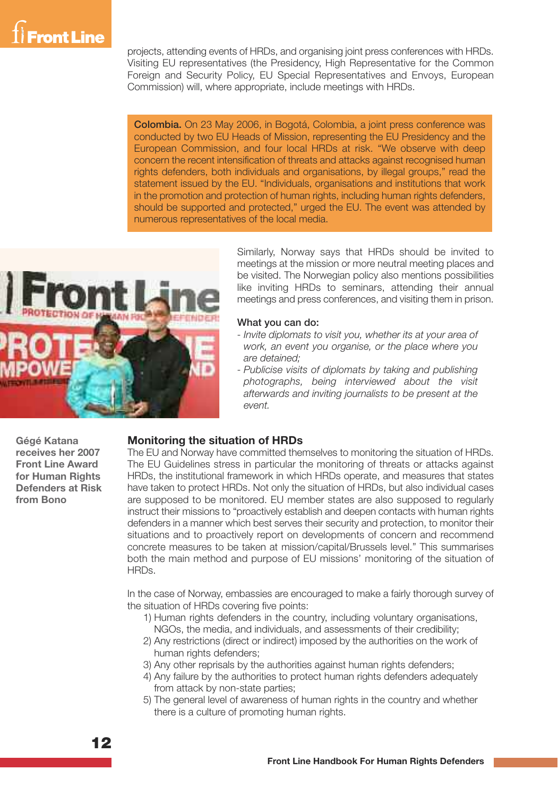

projects, attending events of HRDs, and organising joint press conferences with HRDs. Visiting EU representatives (the Presidency, High Representative for the Common Foreign and Security Policy, EU Special Representatives and Envoys, European Commission) will, where appropriate, include meetings with HRDs.

Colombia. On 23 May 2006, in Bogotá, Colombia, a joint press conference was conducted by two EU Heads of Mission, representing the EU Presidency and the European Commission, and four local HRDs at risk. "We observe with deep concern the recent intensification of threats and attacks against recognised human rights defenders, both individuals and organisations, by illegal groups," read the statement issued by the EU. "Individuals, organisations and institutions that work in the promotion and protection of human rights, including human rights defenders, should be supported and protected," urged the EU. The event was attended by numerous representatives of the local media.



Similarly, Norway says that HRDs should be invited to meetings at the mission or more neutral meeting places and be visited. The Norwegian policy also mentions possibilities like inviting HRDs to seminars, attending their annual meetings and press conferences, and visiting them in prison.

#### What you can do:

- *- Invite diplomats to visit you, whether its at your area of work, an event you organise, or the place where you are detained;*
- *- Publicise visits of diplomats by taking and publishing photographs, being interviewed about the visit afterwards and inviting journalists to be present at the event.*

**Gégé Katana receives her 2007 Front Line Award for Human Rights Defenders at Risk from Bono**

#### **Monitoring the situation of HRDs**

The EU and Norway have committed themselves to monitoring the situation of HRDs. The EU Guidelines stress in particular the monitoring of threats or attacks against HRDs, the institutional framework in which HRDs operate, and measures that states have taken to protect HRDs. Not only the situation of HRDs, but also individual cases are supposed to be monitored. EU member states are also supposed to regularly instruct their missions to "proactively establish and deepen contacts with human rights defenders in a manner which best serves their security and protection, to monitor their situations and to proactively report on developments of concern and recommend concrete measures to be taken at mission/capital/Brussels level." This summarises both the main method and purpose of EU missions' monitoring of the situation of HRDs.

In the case of Norway, embassies are encouraged to make a fairly thorough survey of the situation of HRDs covering five points:

- 1) Human rights defenders in the country, including voluntary organisations, NGOs, the media, and individuals, and assessments of their credibility;
- 2) Any restrictions (direct or indirect) imposed by the authorities on the work of human rights defenders:
- 3) Any other reprisals by the authorities against human rights defenders;
- 4) Any failure by the authorities to protect human rights defenders adequately from attack by non-state parties;
- 5) The general level of awareness of human rights in the country and whether there is a culture of promoting human rights.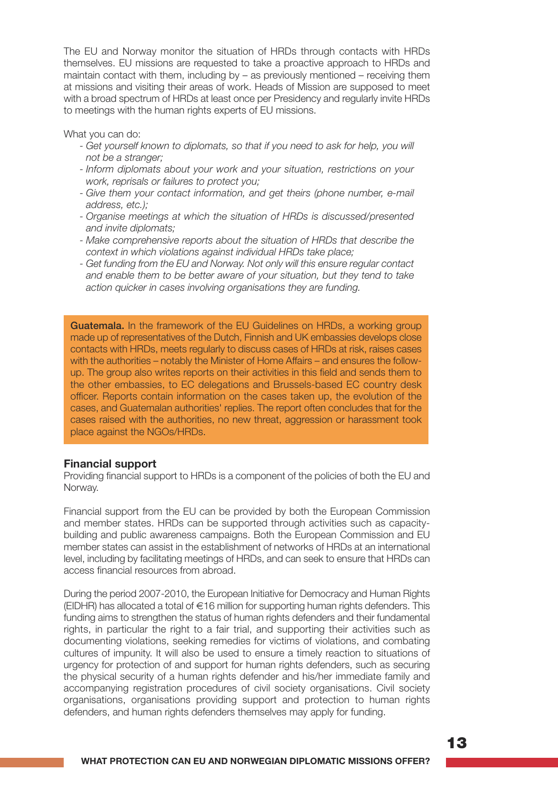The EU and Norway monitor the situation of HRDs through contacts with HRDs themselves. EU missions are requested to take a proactive approach to HRDs and maintain contact with them, including by – as previously mentioned – receiving them at missions and visiting their areas of work. Heads of Mission are supposed to meet with a broad spectrum of HRDs at least once per Presidency and regularly invite HRDs to meetings with the human rights experts of EU missions.

What you can do:

- *- Get yourself known to diplomats, so that if you need to ask for help, you will not be a stranger;*
- *- Inform diplomats about your work and your situation, restrictions on your work, reprisals or failures to protect you;*
- *- Give them your contact information, and get theirs (phone number, e-mail address, etc.);*
- *- Organise meetings at which the situation of HRDs is discussed/presented and invite diplomats;*
- *- Make comprehensive reports about the situation of HRDs that describe the context in which violations against individual HRDs take place;*
- *- Get funding from the EU and Norway. Not only will this ensure regular contact and enable them to be better aware of your situation, but they tend to take action quicker in cases involving organisations they are funding.*

Guatemala. In the framework of the EU Guidelines on HRDs, a working group made up of representatives of the Dutch, Finnish and UK embassies develops close contacts with HRDs, meets regularly to discuss cases of HRDs at risk, raises cases with the authorities – notably the Minister of Home Affairs – and ensures the followup. The group also writes reports on their activities in this field and sends them to the other embassies, to EC delegations and Brussels-based EC country desk officer. Reports contain information on the cases taken up, the evolution of the cases, and Guatemalan authorities' replies. The report often concludes that for the cases raised with the authorities, no new threat, aggression or harassment took place against the NGOs/HRDs.

#### **Financial support**

Providing financial support to HRDs is a component of the policies of both the EU and Norway.

Financial support from the EU can be provided by both the European Commission and member states. HRDs can be supported through activities such as capacitybuilding and public awareness campaigns. Both the European Commission and EU member states can assist in the establishment of networks of HRDs at an international level, including by facilitating meetings of HRDs, and can seek to ensure that HRDs can access financial resources from abroad.

During the period 2007-2010, the European Initiative for Democracy and Human Rights (EIDHR) has allocated a total of €16 million for supporting human rights defenders. This funding aims to strengthen the status of human rights defenders and their fundamental rights, in particular the right to a fair trial, and supporting their activities such as documenting violations, seeking remedies for victims of violations, and combating cultures of impunity. It will also be used to ensure a timely reaction to situations of urgency for protection of and support for human rights defenders, such as securing the physical security of a human rights defender and his/her immediate family and accompanying registration procedures of civil society organisations. Civil society organisations, organisations providing support and protection to human rights defenders, and human rights defenders themselves may apply for funding.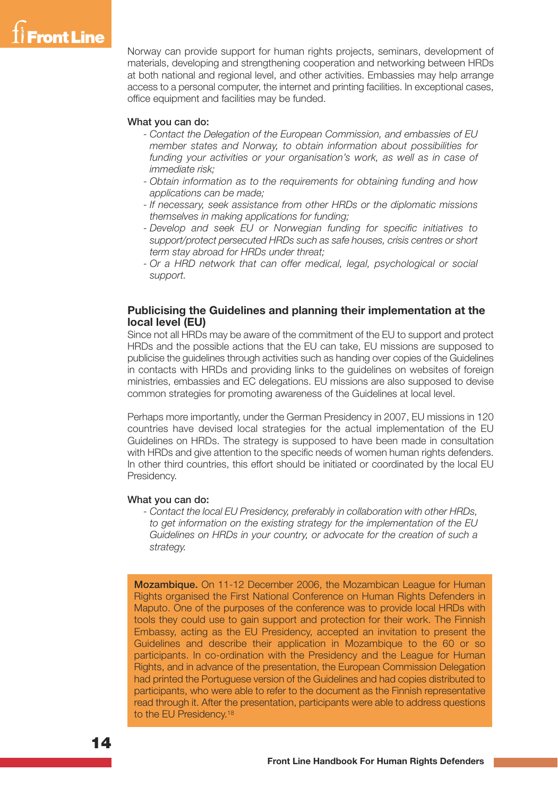

Norway can provide support for human rights projects, seminars, development of materials, developing and strengthening cooperation and networking between HRDs at both national and regional level, and other activities. Embassies may help arrange access to a personal computer, the internet and printing facilities. In exceptional cases, office equipment and facilities may be funded.

#### What you can do:

- *- Contact the Delegation of the European Commission, and embassies of EU member states and Norway, to obtain information about possibilities for funding your activities or your organisation's work, as well as in case of immediate risk;*
- *- Obtain information as to the requirements for obtaining funding and how applications can be made;*
- *- If necessary, seek assistance from other HRDs or the diplomatic missions themselves in making applications for funding;*
- *- Develop and seek EU or Norwegian funding for specific initiatives to support/protect persecuted HRDs such as safe houses, crisis centres or short term stay abroad for HRDs under threat;*
- *- Or a HRD network that can offer medical, legal, psychological or social support.*

#### **Publicising the Guidelines and planning their implementation at the local level (EU)**

Since not all HRDs may be aware of the commitment of the EU to support and protect HRDs and the possible actions that the EU can take, EU missions are supposed to publicise the guidelines through activities such as handing over copies of the Guidelines in contacts with HRDs and providing links to the guidelines on websites of foreign ministries, embassies and EC delegations. EU missions are also supposed to devise common strategies for promoting awareness of the Guidelines at local level.

Perhaps more importantly, under the German Presidency in 2007, EU missions in 120 countries have devised local strategies for the actual implementation of the EU Guidelines on HRDs. The strategy is supposed to have been made in consultation with HRDs and give attention to the specific needs of women human rights defenders. In other third countries, this effort should be initiated or coordinated by the local EU Presidency.

#### What you can do:

*- Contact the local EU Presidency, preferably in collaboration with other HRDs, to get information on the existing strategy for the implementation of the EU Guidelines on HRDs in your country, or advocate for the creation of such a strategy.*

Mozambique. On 11-12 December 2006, the Mozambican League for Human Rights organised the First National Conference on Human Rights Defenders in Maputo. One of the purposes of the conference was to provide local HRDs with tools they could use to gain support and protection for their work. The Finnish Embassy, acting as the EU Presidency, accepted an invitation to present the Guidelines and describe their application in Mozambique to the 60 or so participants. In co-ordination with the Presidency and the League for Human Rights, and in advance of the presentation, the European Commission Delegation had printed the Portuguese version of the Guidelines and had copies distributed to participants, who were able to refer to the document as the Finnish representative read through it. After the presentation, participants were able to address questions to the EU Presidency.<sup>18</sup>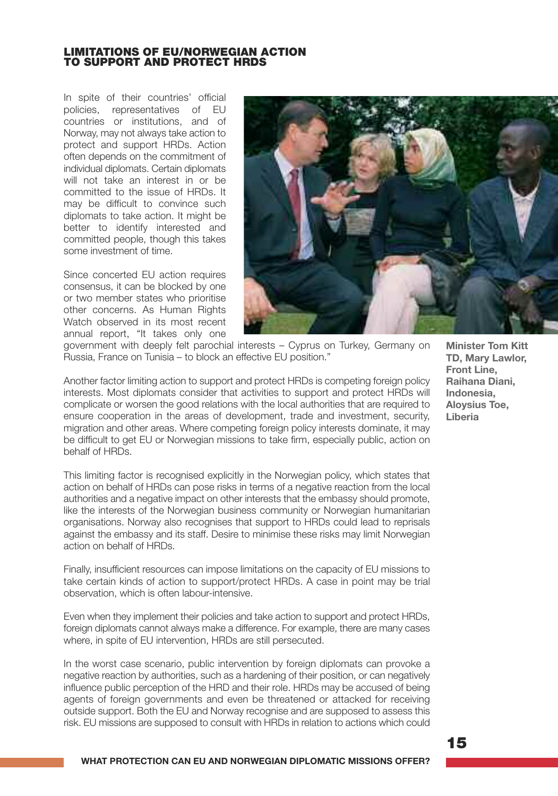#### **LIMITATIONS OF EU/NORWEGIAN ACTION TO SUPPORT AND PROTECT HRDS**

In spite of their countries' official policies, representatives of EU countries or institutions, and of Norway, may not always take action to protect and support HRDs. Action often depends on the commitment of individual diplomats. Certain diplomats will not take an interest in or be committed to the issue of HRDs. It may be difficult to convince such diplomats to take action. It might be better to identify interested and committed people, though this takes some investment of time.

Since concerted EU action requires consensus, it can be blocked by one or two member states who prioritise other concerns. As Human Rights Watch observed in its most recent annual report, "It takes only one



government with deeply felt parochial interests – Cyprus on Turkey, Germany on Russia, France on Tunisia – to block an effective EU position."

Another factor limiting action to support and protect HRDs is competing foreign policy interests. Most diplomats consider that activities to support and protect HRDs will complicate or worsen the good relations with the local authorities that are required to ensure cooperation in the areas of development, trade and investment, security, migration and other areas. Where competing foreign policy interests dominate, it may be difficult to get EU or Norwegian missions to take firm, especially public, action on behalf of HRDs.

This limiting factor is recognised explicitly in the Norwegian policy, which states that action on behalf of HRDs can pose risks in terms of a negative reaction from the local authorities and a negative impact on other interests that the embassy should promote, like the interests of the Norwegian business community or Norwegian humanitarian organisations. Norway also recognises that support to HRDs could lead to reprisals against the embassy and its staff. Desire to minimise these risks may limit Norwegian action on behalf of HRDs.

Finally, insufficient resources can impose limitations on the capacity of EU missions to take certain kinds of action to support/protect HRDs. A case in point may be trial observation, which is often labour-intensive.

Even when they implement their policies and take action to support and protect HRDs, foreign diplomats cannot always make a difference. For example, there are many cases where, in spite of EU intervention, HRDs are still persecuted.

In the worst case scenario, public intervention by foreign diplomats can provoke a negative reaction by authorities, such as a hardening of their position, or can negatively influence public perception of the HRD and their role. HRDs may be accused of being agents of foreign governments and even be threatened or attacked for receiving outside support. Both the EU and Norway recognise and are supposed to assess this risk. EU missions are supposed to consult with HRDs in relation to actions which could

**Minister Tom Kitt TD, Mary Lawlor, Front Line, Raihana Diani, Indonesia, Aloysius Toe, Liberia**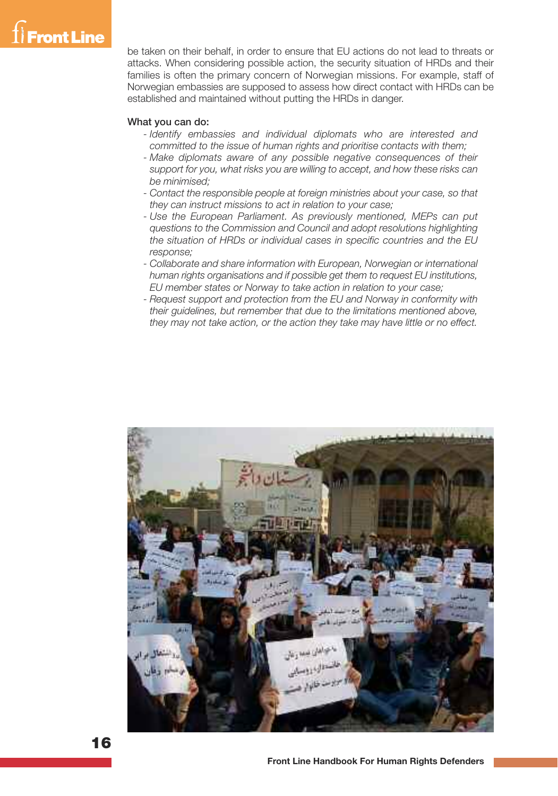

be taken on their behalf, in order to ensure that EU actions do not lead to threats or attacks. When considering possible action, the security situation of HRDs and their families is often the primary concern of Norwegian missions. For example, staff of Norwegian embassies are supposed to assess how direct contact with HRDs can be established and maintained without putting the HRDs in danger.

#### What you can do:

- *- Identify embassies and individual diplomats who are interested and committed to the issue of human rights and prioritise contacts with them;*
- *- Make diplomats aware of any possible negative consequences of their support for you, what risks you are willing to accept, and how these risks can be minimised;*
- *- Contact the responsible people at foreign ministries about your case, so that they can instruct missions to act in relation to your case;*
- *- Use the European Parliament. As previously mentioned, MEPs can put questions to the Commission and Council and adopt resolutions highlighting the situation of HRDs or individual cases in specific countries and the EU response;*
- *- Collaborate and share information with European, Norwegian or international human rights organisations and if possible get them to request EU institutions, EU member states or Norway to take action in relation to your case;*
- *- Request support and protection from the EU and Norway in conformity with their guidelines, but remember that due to the limitations mentioned above, they may not take action, or the action they take may have little or no effect.*

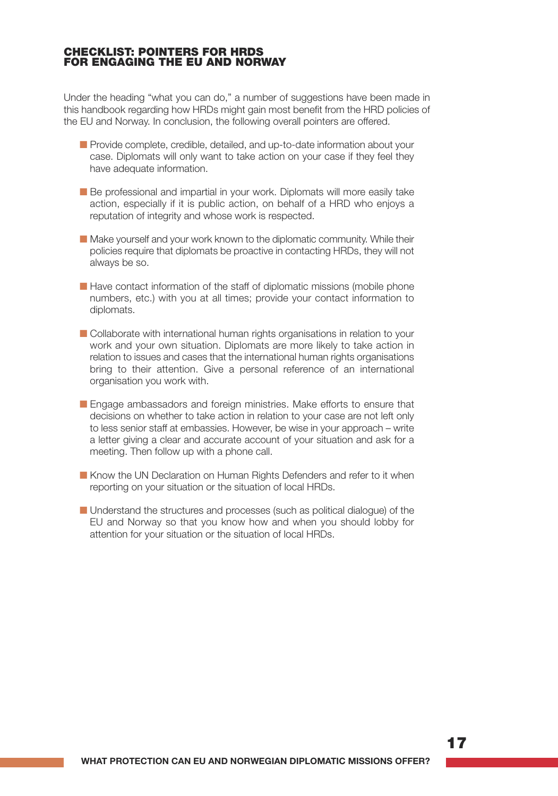#### **CHECKLIST: POINTERS FOR HRDS FOR ENGAGING THE EU AND NORWAY**

Under the heading "what you can do," a number of suggestions have been made in this handbook regarding how HRDs might gain most benefit from the HRD policies of the EU and Norway. In conclusion, the following overall pointers are offered.

- Provide complete, credible, detailed, and up-to-date information about your case. Diplomats will only want to take action on your case if they feel they have adequate information.
- Be professional and impartial in your work. Diplomats will more easily take action, especially if it is public action, on behalf of a HRD who enjoys a reputation of integrity and whose work is respected.
- Make yourself and your work known to the diplomatic community. While their policies require that diplomats be proactive in contacting HRDs, they will not always be so.
- Have contact information of the staff of diplomatic missions (mobile phone numbers, etc.) with you at all times; provide your contact information to diplomats.
- Collaborate with international human rights organisations in relation to your work and your own situation. Diplomats are more likely to take action in relation to issues and cases that the international human rights organisations bring to their attention. Give a personal reference of an international organisation you work with.
- Engage ambassadors and foreign ministries. Make efforts to ensure that decisions on whether to take action in relation to your case are not left only to less senior staff at embassies. However, be wise in your approach – write a letter giving a clear and accurate account of your situation and ask for a meeting. Then follow up with a phone call.
- Know the UN Declaration on Human Rights Defenders and refer to it when reporting on your situation or the situation of local HRDs.
- Understand the structures and processes (such as political dialogue) of the EU and Norway so that you know how and when you should lobby for attention for your situation or the situation of local HRDs.

**17**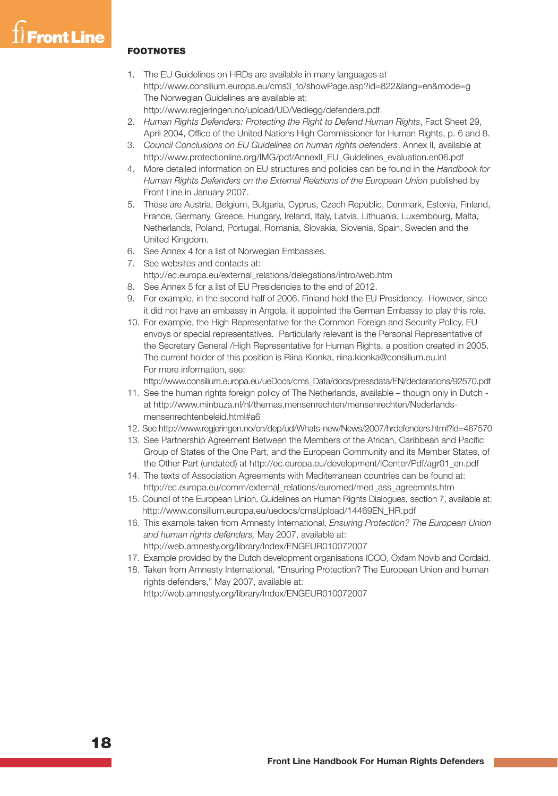## **Front Line**

#### **FOOTNOTES**

- 1. The EU Guidelines on HRDs are available in many languages at http://www.consilium.europa.eu/cms3\_fo/showPage.asp?id=822&lang=en&mode=g The Norwegian Guidelines are available at: http://www.regjeringen.no/upload/UD/Vedlegg/defenders.pdf
- 2. *Human Rights Defenders: Protecting the Right to Defend Human Rights*, Fact Sheet 29, April 2004, Office of the United Nations High Commissioner for Human Rights, p. 6 and 8.
- 3. *Council Conclusions on EU Guidelines on human rights defenders*, Annex II, available at http://www.protectionline.org/IMG/pdf/AnnexII\_EU\_Guidelines\_evaluation.en06.pdf
- 4. More detailed information on EU structures and policies can be found in the *Handbook for Human Rights Defenders on the External Relations of the European Union* published by Front Line in January 2007.
- 5. These are Austria, Belgium, Bulgaria, Cyprus, Czech Republic, Denmark, Estonia, Finland, France, Germany, Greece, Hungary, Ireland, Italy, Latvia, Lithuania, Luxembourg, Malta, Netherlands, Poland, Portugal, Romania, Slovakia, Slovenia, Spain, Sweden and the United Kingdom.
- 6. See Annex 4 for a list of Norwegian Embassies.
- 7. See websites and contacts at: http://ec.europa.eu/external\_relations/delegations/intro/web.htm
- 8. See Annex 5 for a list of EU Presidencies to the end of 2012.
- 9. For example, in the second half of 2006, Finland held the EU Presidency. However, since it did not have an embassy in Angola, it appointed the German Embassy to play this role.
- 10. For example, the High Representative for the Common Foreign and Security Policy, EU envoys or special representatives. Particularly relevant is the Personal Representative of the Secretary General /High Representative for Human Rights, a position created in 2005. The current holder of this position is Riina Kionka, riina.kionka@consilium.eu.int For more information, see:

http://www.consilium.europa.eu/ueDocs/cms\_Data/docs/pressdata/EN/declarations/92570.pdf

- 11. See the human rights foreign policy of The Netherlands, available though only in Dutch at http://www.minbuza.nl/nl/themas,mensenrechten/mensenrechten/Nederlandsmensenrechtenbeleid.html#a6
- 12. See http://www.regjeringen.no/en/dep/ud/Whats-new/News/2007/hrdefenders.html?id=467570
- 13. See Partnership Agreement Between the Members of the African, Caribbean and Pacific Group of States of the One Part, and the European Community and its Member States, of the Other Part (undated) at http://ec.europa.eu/development/ICenter/Pdf/agr01\_en.pdf
- 14. The texts of Association Agreements with Mediterranean countries can be found at: http://ec.europa.eu/comm/external\_relations/euromed/med\_ass\_agreemnts.htm
- 15. Council of the European Union, Guidelines on Human Rights Dialogues, section 7, available at: http://www.consilium.europa.eu/uedocs/cmsUpload/14469EN\_HR.pdf
- 16. This example taken from Amnesty International, *Ensuring Protection? The European Union and human rights defenders,* May 2007, available at: http://web.amnesty.org/library/Index/ENGEUR010072007
	-
- 17. Example provided by the Dutch development organisations ICCO, Oxfam Novib and Cordaid.
- 18. Taken from Amnesty International, "Ensuring Protection? The European Union and human rights defenders," May 2007, available at: http://web.amnesty.org/library/Index/ENGEUR010072007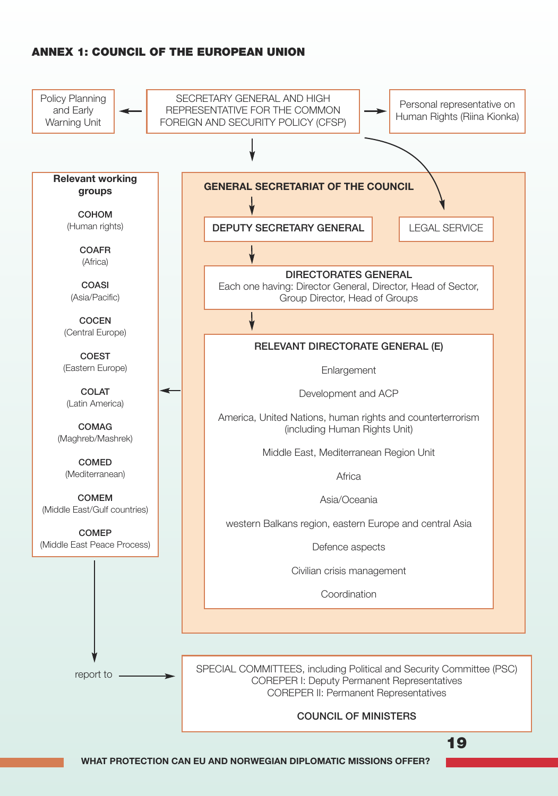## **ANNEX 1: COUNCIL OF THE EUROPEAN UNION**

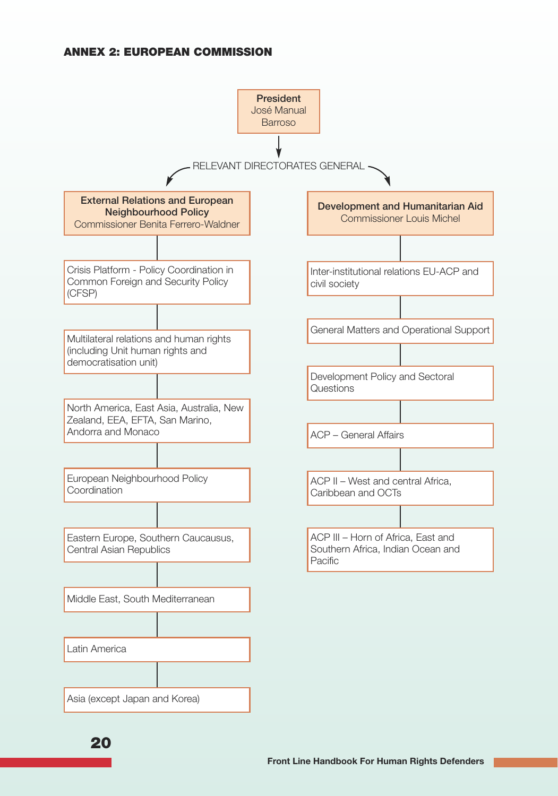## **ANNEX 2: EUROPEAN COMMISSION**

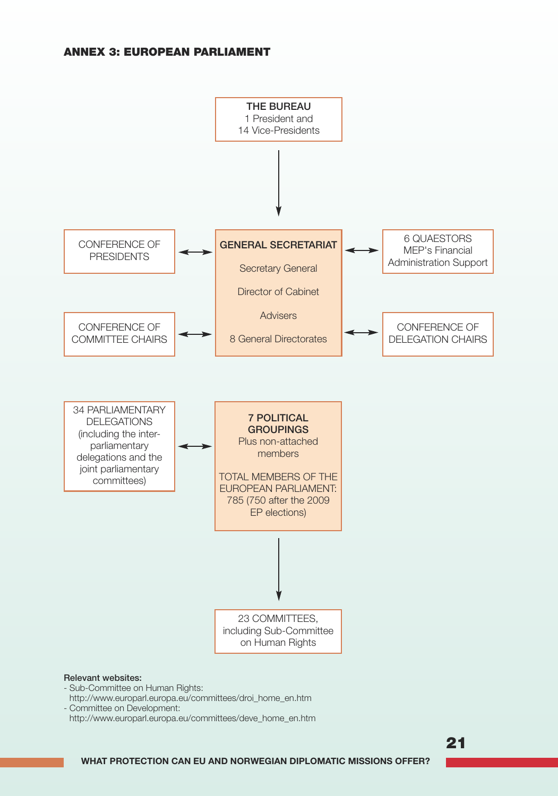#### **ANNEX 3: EUROPEAN PARLIAMENT**



- Sub-Committee on Human Rights:
- http://www.europarl.europa.eu/committees/droi\_home\_en.htm
- Committee on Development:
- http://www.europarl.europa.eu/committees/deve\_home\_en.htm

**21**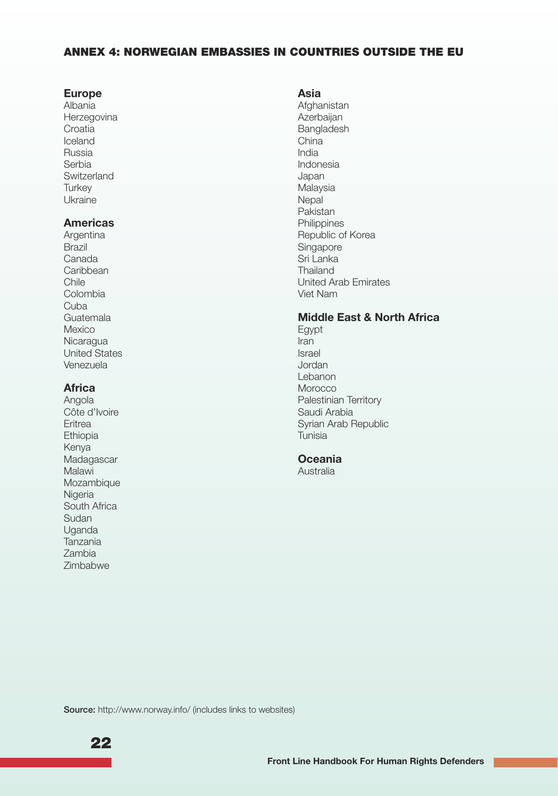#### **ANNEX 4: NORWEGIAN EMBASSIES IN COUNTRIES OUTSIDE THE EU**

#### **Europe**

Albania Herzegovina Croatia Iceland Russia Serbia **Switzerland Turkey** Ukraine

#### **Americas**

Argentina Brazil Canada Caribbean Chile Colombia Cuba Guatemala Mexico Nicaragua United States Venezuela

#### **Africa**

Angola Côte d'Ivoire Eritrea Ethiopia Kenya Madagascar Malawi Mozambique Nigeria South Africa Sudan Uganda Tanzania Zambia Zimbabwe

#### **Asia**

Afghanistan Azerbaijan Bangladesh China India Indonesia Japan Malaysia **Nepal** Pakistan **Philippines** Republic of Korea Singapore Sri Lanka Thailand United Arab Emirates Viet Nam

## **Middle East & North Africa**

Egypt Iran Israel Jordan Lebanon Morocco Palestinian Territory Saudi Arabia Syrian Arab Republic Tunisia

## **Oceania**

Australia

Source: http://www.norway.info/ (includes links to websites)

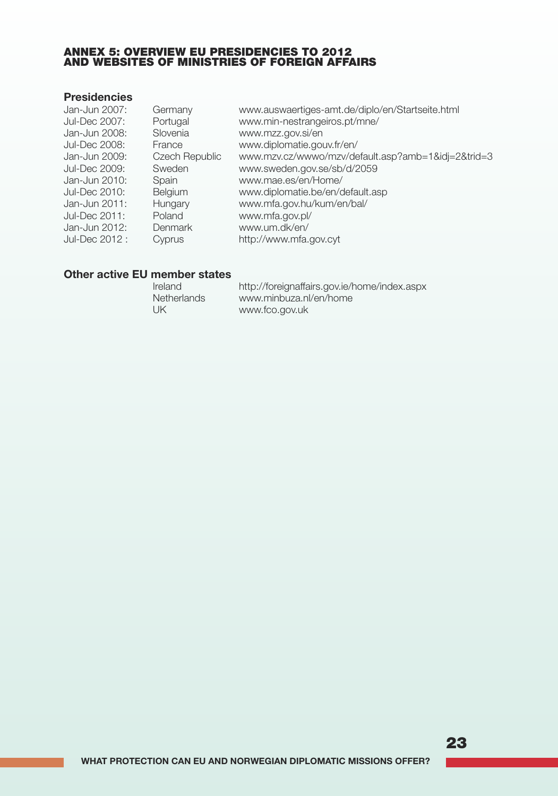#### **ANNEX 5: OVERVIEW EU PRESIDENCIES TO 2012 AND WEBSITES OF MINISTRIES OF FOREIGN AFFAIRS**

## **Presidencies**

| Jan-Jun 2007:<br>Jul-Dec 2007: | Germany<br>Portugal | www.auswaertiges-amt.de/diplo/en/Startseite.html<br>www.min-nestrangeiros.pt/mne/ |
|--------------------------------|---------------------|-----------------------------------------------------------------------------------|
| Jan-Jun 2008:                  | Slovenia            | www.mzz.gov.si/en                                                                 |
| Jul-Dec 2008:                  | France              | www.diplomatie.gouv.fr/en/                                                        |
| Jan-Jun 2009:                  | Czech Republic      | www.mzv.cz/wwwo/mzv/default.asp?amb=1&idj=2&trid=3                                |
| Jul-Dec 2009:                  | Sweden              | www.sweden.gov.se/sb/d/2059                                                       |
| Jan-Jun 2010:                  | Spain               | www.mae.es/en/Home/                                                               |
| Jul-Dec 2010:                  | <b>Belgium</b>      | www.diplomatie.be/en/default.asp                                                  |
| Jan-Jun 2011:                  | Hungary             | www.mfa.gov.hu/kum/en/bal/                                                        |
| Jul-Dec 2011:                  | Poland              | www.mfa.gov.pl/                                                                   |
| Jan-Jun 2012:                  | Denmark             | www.um.dk/en/                                                                     |
| Jul-Dec 2012 :                 | Cyprus              | http://www.mfa.gov.cyt                                                            |
|                                |                     |                                                                                   |

## **Other active EU member states**

| Ireland            | http://foreignaffairs.gov.ie/home/index.aspx |
|--------------------|----------------------------------------------|
| <b>Netherlands</b> | www.minbuza.nl/en/home                       |
| UK                 | www.fco.gov.uk                               |

## **23**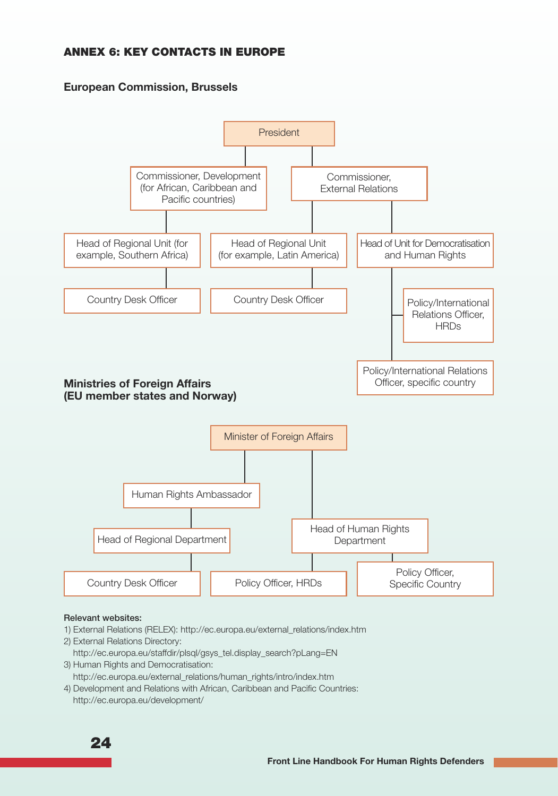## **ANNEX 6: KEY CONTACTS IN EUROPE**

## **European Commission, Brussels**



#### Relevant websites:

- 1) External Relations (RELEX): http://ec.europa.eu/external\_relations/index.htm
- 2) External Relations Directory:
- http://ec.europa.eu/staffdir/plsql/gsys\_tel.display\_search?pLang=EN 3) Human Rights and Democratisation:
- http://ec.europa.eu/external\_relations/human\_rights/intro/index.htm
- 4) Development and Relations with African, Caribbean and Pacific Countries: http://ec.europa.eu/development/

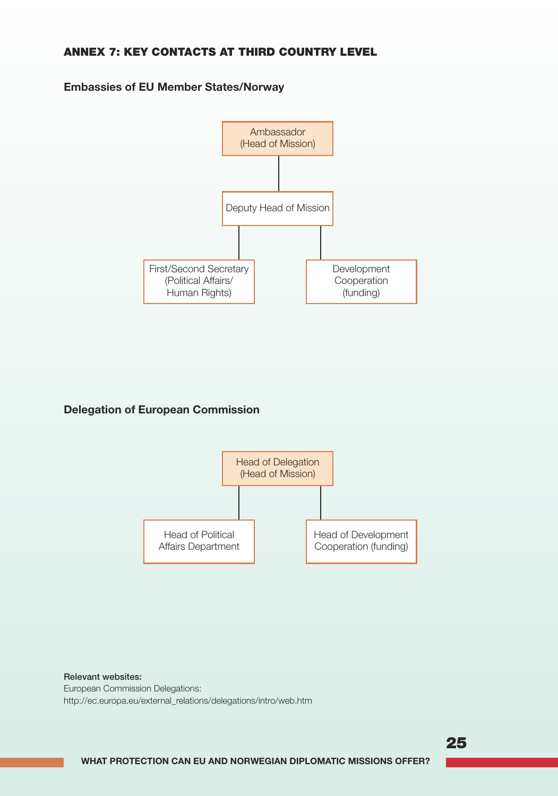## **ANNEX 7: KEY CONTACTS AT THIRD COUNTRY LEVEL**

### **Embassies of EU Member States/Norway**



## **Delegation of European Commission**



Relevant websites: European Commission Delegations: http://ec.europa.eu/external\_relations/delegations/intro/web.htm

**25**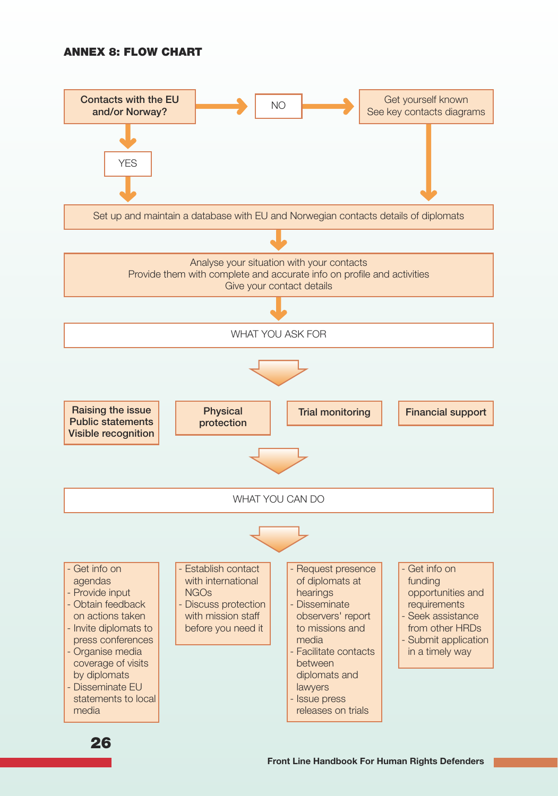#### **ANNEX 8: FLOW CHART**

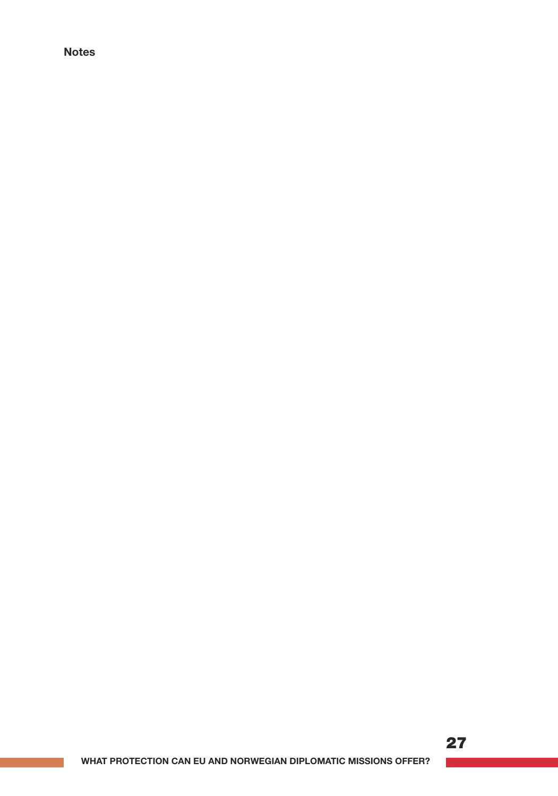## **Notes**

## **27** $\mathcal{L}^{\text{max}}_{\text{max}}$